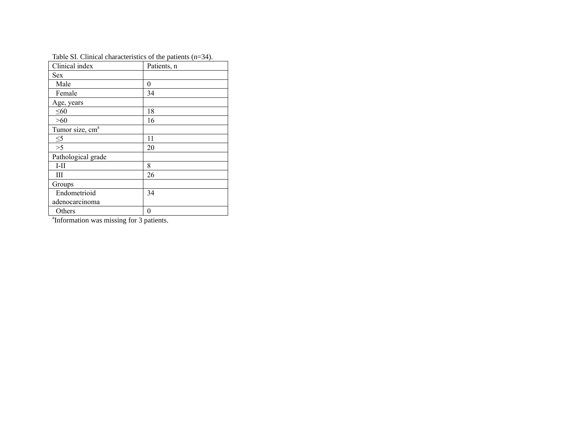|                             | $\mathcal{L}$ . Chineta entracteristics of the patients $\left\langle \mu \right\rangle$ |
|-----------------------------|------------------------------------------------------------------------------------------|
| Clinical index              | Patients, n                                                                              |
| <b>Sex</b>                  |                                                                                          |
| Male                        | $\boldsymbol{0}$                                                                         |
| Female                      | 34                                                                                       |
| Age, years                  |                                                                                          |
| $\leq 60$                   | 18                                                                                       |
| >60                         | 16                                                                                       |
| Tumor size, cm <sup>a</sup> |                                                                                          |
| $\leq 5$                    | 11                                                                                       |
| >5                          | 20                                                                                       |
| Pathological grade          |                                                                                          |
| $I-II$                      | 8                                                                                        |
| Ш                           | 26                                                                                       |
| Groups                      |                                                                                          |
| Endometrioid                | 34                                                                                       |
| adenocarcinoma              |                                                                                          |
| Others                      | 0                                                                                        |

Table SI. Clinical characteristics of the patients (n=34).

a Information was missing for 3 patients.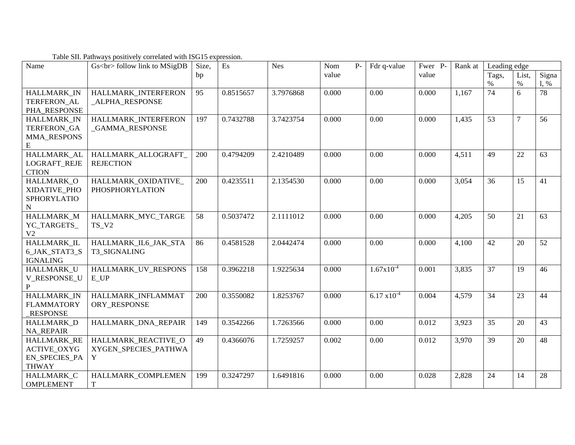| Name                | Gs<br>follow link to MSigDB | Size, | Es        | <b>Nes</b> | Nom<br>$P-$ | Fdr q-value           | Fwer P- | Rank at | Leading edge |                |         |
|---------------------|-----------------------------|-------|-----------|------------|-------------|-----------------------|---------|---------|--------------|----------------|---------|
|                     |                             | bp    |           |            | value       |                       | value   |         | Tags,        | List,          | Signa   |
|                     |                             |       |           |            |             |                       |         |         | $\%$         | $\%$           | $1, \%$ |
| <b>HALLMARK IN</b>  | HALLMARK INTERFERON         | 95    | 0.8515657 | 3.7976868  | 0.000       | 0.00                  | 0.000   | 1,167   | 74           | 6              | 78      |
| TERFERON AL         | <b>ALPHA RESPONSE</b>       |       |           |            |             |                       |         |         |              |                |         |
| PHA RESPONSE        |                             |       |           |            |             |                       |         |         |              |                |         |
| HALLMARK_IN         | HALLMARK_INTERFERON         | 197   | 0.7432788 | 3.7423754  | 0.000       | 0.00                  | 0.000   | 1,435   | 53           | $\overline{7}$ | 56      |
| TERFERON_GA         | <b>GAMMA_RESPONSE</b>       |       |           |            |             |                       |         |         |              |                |         |
| MMA_RESPONS         |                             |       |           |            |             |                       |         |         |              |                |         |
| E                   |                             |       |           |            |             |                       |         |         |              |                |         |
| HALLMARK_AL         | HALLMARK_ALLOGRAFT_         | 200   | 0.4794209 | 2.4210489  | 0.000       | 0.00                  | 0.000   | 4,511   | 49           | 22             | 63      |
| <b>LOGRAFT REJE</b> | <b>REJECTION</b>            |       |           |            |             |                       |         |         |              |                |         |
| <b>CTION</b>        |                             |       |           |            |             |                       |         |         |              |                |         |
| HALLMARK_O          | HALLMARK_OXIDATIVE_         | 200   | 0.4235511 | 2.1354530  | 0.000       | 0.00                  | 0.000   | 3,054   | 36           | 15             | 41      |
| XIDATIVE_PHO        | <b>PHOSPHORYLATION</b>      |       |           |            |             |                       |         |         |              |                |         |
| SPHORYLATIO         |                             |       |           |            |             |                       |         |         |              |                |         |
| ${\bf N}$           |                             |       |           |            |             |                       |         |         |              |                |         |
| HALLMARK M          | HALLMARK_MYC_TARGE          | 58    | 0.5037472 | 2.1111012  | 0.000       | 0.00                  | 0.000   | 4,205   | 50           | 21             | 63      |
| YC_TARGETS_         | $TS_V2$                     |       |           |            |             |                       |         |         |              |                |         |
| V <sub>2</sub>      |                             |       |           |            |             |                       |         |         |              |                |         |
| <b>HALLMARK IL</b>  | HALLMARK_IL6_JAK_STA        | 86    | 0.4581528 | 2.0442474  | 0.000       | 0.00                  | 0.000   | 4,100   | 42           | 20             | 52      |
| 6_JAK_STAT3_S       | T3 SIGNALING                |       |           |            |             |                       |         |         |              |                |         |
| <b>IGNALING</b>     |                             | 158   | 0.3962218 | 1.9225634  | 0.000       | $1.67 \times 10^{-4}$ | 0.001   |         | 37           | 19             |         |
| <b>HALLMARK U</b>   | HALLMARK_UV_RESPONS         |       |           |            |             |                       |         | 3,835   |              |                | 46      |
| V_RESPONSE_U<br>P   | $E$ <sub></sub> $UP$        |       |           |            |             |                       |         |         |              |                |         |
| <b>HALLMARK IN</b>  | HALLMARK_INFLAMMAT          | 200   | 0.3550082 | 1.8253767  | 0.000       | $6.17 \times 10^{-4}$ | 0.004   | 4,579   | 34           | 23             | 44      |
| <b>FLAMMATORY</b>   | ORY_RESPONSE                |       |           |            |             |                       |         |         |              |                |         |
| <b>RESPONSE</b>     |                             |       |           |            |             |                       |         |         |              |                |         |
| <b>HALLMARK D</b>   | HALLMARK DNA REPAIR         | 149   | 0.3542266 | 1.7263566  | 0.000       | 0.00                  | 0.012   | 3,923   | 35           | 20             | 43      |
| NA_REPAIR           |                             |       |           |            |             |                       |         |         |              |                |         |
| HALLMARK_RE         | HALLMARK_REACTIVE_O         | 49    | 0.4366076 | 1.7259257  | 0.002       | 0.00                  | 0.012   | 3,970   | 39           | 20             | 48      |
| <b>ACTIVE_OXYG</b>  | XYGEN_SPECIES_PATHWA        |       |           |            |             |                       |         |         |              |                |         |
| EN_SPECIES_PA       | Y                           |       |           |            |             |                       |         |         |              |                |         |
| <b>THWAY</b>        |                             |       |           |            |             |                       |         |         |              |                |         |
| HALLMARK C          | HALLMARK COMPLEMEN          | 199   | 0.3247297 | 1.6491816  | 0.000       | 0.00                  | 0.028   | 2,828   | 24           | 14             | 28      |
| <b>OMPLEMENT</b>    | $\mathbf T$                 |       |           |            |             |                       |         |         |              |                |         |

## Table SII. Pathways positively correlated with ISG15 expression.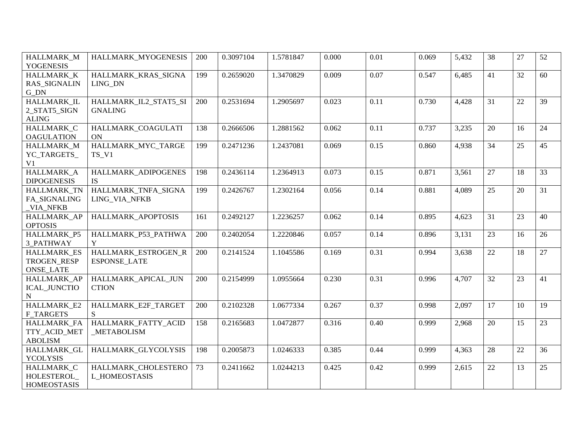| <b>HALLMARK M</b><br><b>YOGENESIS</b>                 | HALLMARK MYOGENESIS                        | 200 | 0.3097104 | 1.5781847 | 0.000 | 0.01 | 0.069 | 5,432 | 38 | 27 | 52 |
|-------------------------------------------------------|--------------------------------------------|-----|-----------|-----------|-------|------|-------|-------|----|----|----|
| HALLMARK_K<br><b>RAS SIGNALIN</b><br>$G_DN$           | HALLMARK_KRAS_SIGNA<br>LING DN             | 199 | 0.2659020 | 1.3470829 | 0.009 | 0.07 | 0.547 | 6,485 | 41 | 32 | 60 |
| HALLMARK_IL<br>2_STAT5_SIGN<br><b>ALING</b>           | HALLMARK_IL2_STAT5_SI<br><b>GNALING</b>    | 200 | 0.2531694 | 1.2905697 | 0.023 | 0.11 | 0.730 | 4,428 | 31 | 22 | 39 |
| HALLMARK_C<br><b>OAGULATION</b>                       | HALLMARK_COAGULATI<br><b>ON</b>            | 138 | 0.2666506 | 1.2881562 | 0.062 | 0.11 | 0.737 | 3,235 | 20 | 16 | 24 |
| HALLMARK_M<br>YC_TARGETS_<br>V1                       | HALLMARK_MYC_TARGE<br>$TS_V1$              | 199 | 0.2471236 | 1.2437081 | 0.069 | 0.15 | 0.860 | 4,938 | 34 | 25 | 45 |
| HALLMARK_A<br><b>DIPOGENESIS</b>                      | HALLMARK_ADIPOGENES<br><b>IS</b>           | 198 | 0.2436114 | 1.2364913 | 0.073 | 0.15 | 0.871 | 3,561 | 27 | 18 | 33 |
| HALLMARK_TN<br>FA_SIGNALING<br>VIA_NFKB               | HALLMARK_TNFA_SIGNA<br>LING_VIA_NFKB       | 199 | 0.2426767 | 1.2302164 | 0.056 | 0.14 | 0.881 | 4,089 | 25 | 20 | 31 |
| HALLMARK_AP<br><b>OPTOSIS</b>                         | HALLMARK_APOPTOSIS                         | 161 | 0.2492127 | 1.2236257 | 0.062 | 0.14 | 0.895 | 4,623 | 31 | 23 | 40 |
| HALLMARK_P5<br>3_PATHWAY                              | HALLMARK_P53_PATHWA<br>Y                   | 200 | 0.2402054 | 1.2220846 | 0.057 | 0.14 | 0.896 | 3,131 | 23 | 16 | 26 |
| <b>HALLMARK ES</b><br>TROGEN_RESP<br><b>ONSE_LATE</b> | HALLMARK_ESTROGEN_R<br><b>ESPONSE LATE</b> | 200 | 0.2141524 | 1.1045586 | 0.169 | 0.31 | 0.994 | 3,638 | 22 | 18 | 27 |
| HALLMARK AP<br><b>ICAL_JUNCTIO</b><br>${\bf N}$       | HALLMARK_APICAL_JUN<br><b>CTION</b>        | 200 | 0.2154999 | 1.0955664 | 0.230 | 0.31 | 0.996 | 4,707 | 32 | 23 | 41 |
| HALLMARK_E2<br><b>F TARGETS</b>                       | HALLMARK_E2F_TARGET<br>S                   | 200 | 0.2102328 | 1.0677334 | 0.267 | 0.37 | 0.998 | 2,097 | 17 | 10 | 19 |
| <b>HALLMARK FA</b><br>TTY_ACID_MET<br><b>ABOLISM</b>  | HALLMARK_FATTY_ACID<br><b>METABOLISM</b>   | 158 | 0.2165683 | 1.0472877 | 0.316 | 0.40 | 0.999 | 2,968 | 20 | 15 | 23 |
| HALLMARK_GL<br><b>YCOLYSIS</b>                        | HALLMARK GLYCOLYSIS                        | 198 | 0.2005873 | 1.0246333 | 0.385 | 0.44 | 0.999 | 4,363 | 28 | 22 | 36 |
| HALLMARK C<br>HOLESTEROL<br><b>HOMEOSTASIS</b>        | HALLMARK CHOLESTERO<br>L HOMEOSTASIS       | 73  | 0.2411662 | 1.0244213 | 0.425 | 0.42 | 0.999 | 2,615 | 22 | 13 | 25 |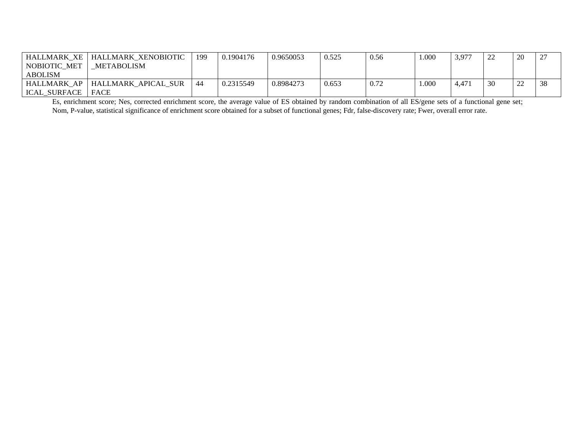|                     | HALLMARK XE   HALLMARK XENOBIOTIC | 199 | 0.1904176 | 0.9650053 | 0.525 | 0.56 | 1.000 | 3.977 |    | 20     | 27 |
|---------------------|-----------------------------------|-----|-----------|-----------|-------|------|-------|-------|----|--------|----|
| NOBIOTIC MET        | METABOLISM                        |     |           |           |       |      |       |       |    |        |    |
| <b>ABOLISM</b>      |                                   |     |           |           |       |      |       |       |    |        |    |
|                     | HALLMARK AP   HALLMARK APICAL SUR | -44 | 0.2315549 | 0.8984273 | 0.653 | 0.72 | 1.000 | 4.471 | 30 | $\cap$ | 38 |
| ICAL SURFACE   FACE |                                   |     |           |           |       |      |       |       |    |        |    |

Es, enrichment score; Nes, corrected enrichment score, the average value of ES obtained by random combination of all ES/gene sets of a functional gene set; Nom, P-value, statistical significance of enrichment score obtained for a subset of functional genes; Fdr, false-discovery rate; Fwer, overall error rate.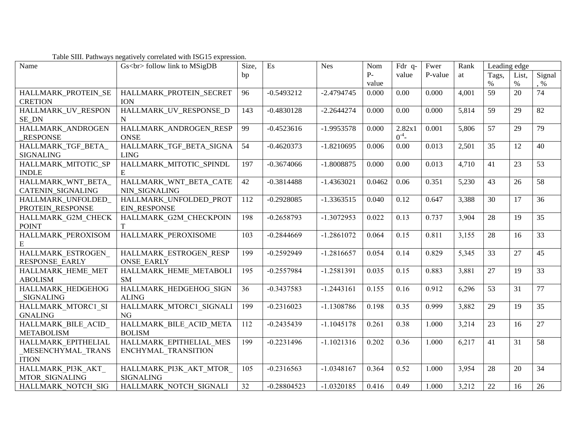| Name                | Gs<br>follow link to MSigDB | Size, | Es            | <b>Nes</b>   | Nom    | Fdr q-   | Fwer    | Rank  | Leading edge |       |                 |
|---------------------|-----------------------------|-------|---------------|--------------|--------|----------|---------|-------|--------------|-------|-----------------|
|                     |                             | bp    |               |              | P-     | value    | P-value | at    | Tags,        | List, | Signal          |
|                     |                             |       |               |              | value  |          |         |       | $\%$         | $\%$  | $, \frac{0}{6}$ |
| HALLMARK_PROTEIN_SE | HALLMARK_PROTEIN_SECRET     | 96    | $-0.5493212$  | $-2.4794745$ | 0.000  | 0.00     | 0.000   | 4,001 | 59           | 20    | 74              |
| <b>CRETION</b>      | <b>ION</b>                  |       |               |              |        |          |         |       |              |       |                 |
| HALLMARK_UV_RESPON  | HALLMARK_UV_RESPONSE_D      | 143   | $-0.4830128$  | $-2.2644274$ | 0.000  | 0.00     | 0.000   | 5,814 | 59           | 29    | 82              |
| SE DN               | N                           |       |               |              |        |          |         |       |              |       |                 |
| HALLMARK_ANDROGEN   | HALLMARK_ANDROGEN_RESP      | 99    | $-0.4523616$  | $-1.9953578$ | 0.000  | 2.82x1   | 0.001   | 5,806 | 57           | 29    | 79              |
| <b>RESPONSE</b>     | <b>ONSE</b>                 |       |               |              |        | $0^{-4}$ |         |       |              |       |                 |
| HALLMARK_TGF_BETA_  | HALLMARK_TGF_BETA_SIGNA     | 54    | $-0.4620373$  | $-1.8210695$ | 0.006  | 0.00     | 0.013   | 2,501 | 35           | 12    | 40              |
| <b>SIGNALING</b>    | <b>LING</b>                 |       |               |              |        |          |         |       |              |       |                 |
| HALLMARK_MITOTIC_SP | HALLMARK_MITOTIC_SPINDL     | 197   | $-0.3674066$  | $-1.8008875$ | 0.000  | 0.00     | 0.013   | 4,710 | 41           | 23    | 53              |
| <b>INDLE</b>        | E                           |       |               |              |        |          |         |       |              |       |                 |
| HALLMARK_WNT_BETA_  | HALLMARK_WNT_BETA_CATE      | 42    | $-0.3814488$  | $-1.4363021$ | 0.0462 | 0.06     | 0.351   | 5,230 | 43           | 26    | 58              |
| CATENIN_SIGNALING   | NIN_SIGNALING               |       |               |              |        |          |         |       |              |       |                 |
| HALLMARK_UNFOLDED_  | HALLMARK_UNFOLDED_PROT      | 112   | $-0.2928085$  | $-1.3363515$ | 0.040  | 0.12     | 0.647   | 3,388 | 30           | 17    | 36              |
| PROTEIN_RESPONSE    | <b>EIN_RESPONSE</b>         |       |               |              |        |          |         |       |              |       |                 |
| HALLMARK G2M CHECK  | HALLMARK G2M CHECKPOIN      | 198   | $-0.2658793$  | $-1.3072953$ | 0.022  | 0.13     | 0.737   | 3,904 | 28           | 19    | 35              |
| <b>POINT</b>        |                             |       |               |              |        |          |         |       |              |       |                 |
| HALLMARK PEROXISOM  | HALLMARK PEROXISOME         | 103   | $-0.2844669$  | $-1.2861072$ | 0.064  | 0.15     | 0.811   | 3,155 | 28           | 16    | 33              |
| E                   |                             |       |               |              |        |          |         |       |              |       |                 |
| HALLMARK ESTROGEN   | HALLMARK ESTROGEN RESP      | 199   | $-0.2592949$  | $-1.2816657$ | 0.054  | 0.14     | 0.829   | 5,345 | 33           | 27    | 45              |
| RESPONSE EARLY      | <b>ONSE EARLY</b>           |       |               |              |        |          |         |       |              |       |                 |
| HALLMARK HEME MET   | HALLMARK HEME METABOLI      | 195   | $-0.2557984$  | $-1.2581391$ | 0.035  | 0.15     | 0.883   | 3,881 | 27           | 19    | 33              |
| <b>ABOLISM</b>      | <b>SM</b>                   |       |               |              |        |          |         |       |              |       |                 |
| HALLMARK_HEDGEHOG   | HALLMARK HEDGEHOG SIGN      | 36    | $-0.3437583$  | $-1.2443161$ | 0.155  | 0.16     | 0.912   | 6,296 | 53           | 31    | 77              |
| <b>SIGNALING</b>    | <b>ALING</b>                |       |               |              |        |          |         |       |              |       |                 |
| HALLMARK MTORC1 SI  | HALLMARK MTORC1 SIGNALI     | 199   | $-0.2316023$  | $-1.1308786$ | 0.198  | 0.35     | 0.999   | 3,882 | 29           | 19    | 35              |
| <b>GNALING</b>      | NG                          |       |               |              |        |          |         |       |              |       |                 |
| HALLMARK BILE ACID  | HALLMARK BILE ACID META     | 112   | $-0.2435439$  | $-1.1045178$ | 0.261  | 0.38     | 1.000   | 3,214 | 23           | 16    | 27              |
| <b>METABOLISM</b>   | <b>BOLISM</b>               |       |               |              |        |          |         |       |              |       |                 |
| HALLMARK EPITHELIAL | HALLMARK EPITHELIAL MES     | 199   | $-0.2231496$  | $-1.1021316$ | 0.202  | 0.36     | 1.000   | 6,217 | 41           | 31    | 58              |
| MESENCHYMAL_TRANS   | ENCHYMAL TRANSITION         |       |               |              |        |          |         |       |              |       |                 |
| <b>ITION</b>        |                             |       |               |              |        |          |         |       |              |       |                 |
| HALLMARK PI3K AKT   | HALLMARK PI3K AKT MTOR      | 105   | $-0.2316563$  | $-1.0348167$ | 0.364  | 0.52     | 1.000   | 3,954 | 28           | 20    | 34              |
| MTOR SIGNALING      | <b>SIGNALING</b>            |       |               |              |        |          |         |       |              |       |                 |
| HALLMARK NOTCH SIG  | HALLMARK NOTCH SIGNALI      | 32    | $-0.28804523$ | $-1.0320185$ | 0.416  | 0.49     | 1.000   | 3,212 | 22           | 16    | 26              |

## Table SIII. Pathways negatively correlated with ISG15 expression.